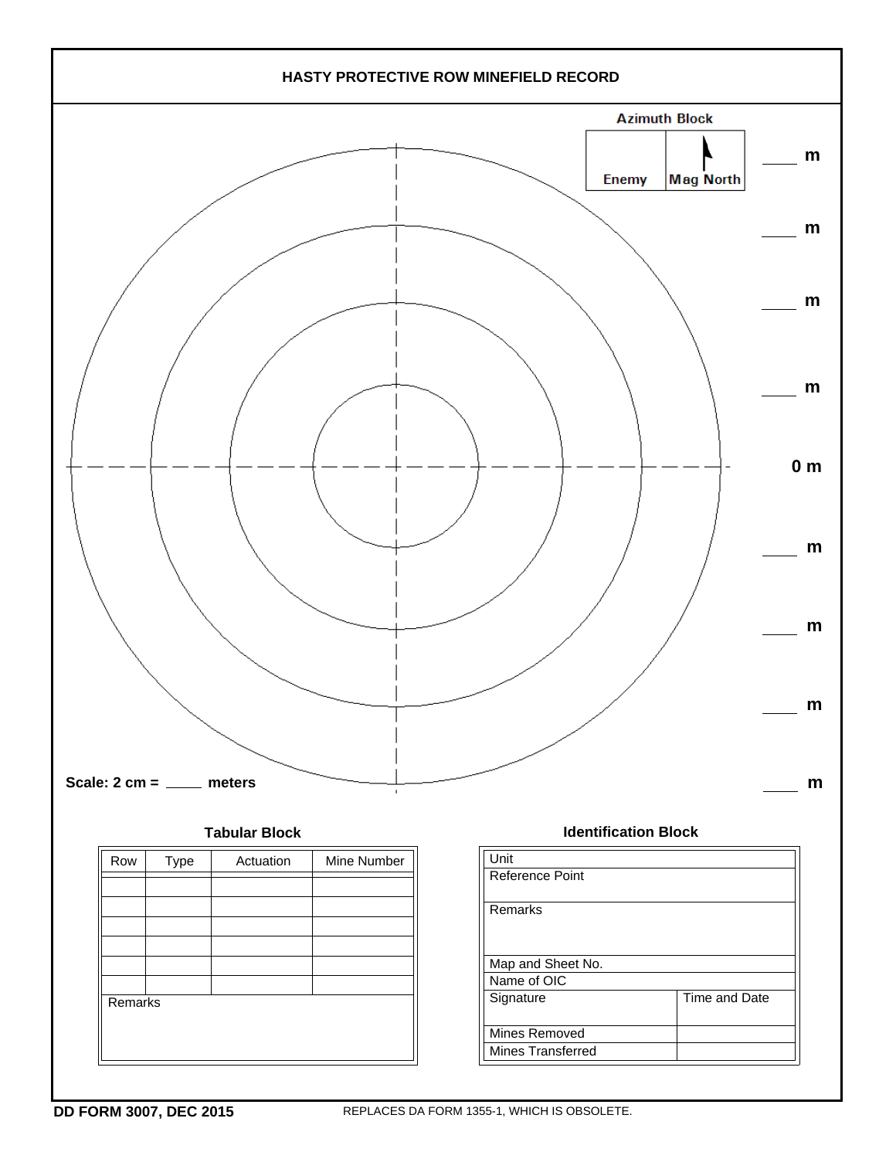